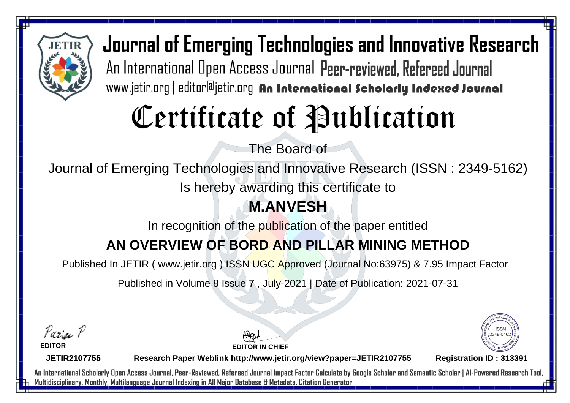

# Certificate of Publication

The Board of

Journal of Emerging Technologies and Innovative Research (ISSN : 2349-5162)

Is hereby awarding this certificate to

### **M.ANVESH**

In recognition of the publication of the paper entitled

### **AN OVERVIEW OF BORD AND PILLAR MINING METHOD**

Published In JETIR ( www.jetir.org ) ISSN UGC Approved (Journal No: 63975) & 7.95 Impact Factor

Published in Volume 8 Issue 7 , July-2021 | Date of Publication: 2021-07-31

Parin P

**EDITOR**

**EDITOR IN CHIEF**



**JETIR2107755**

**Research Paper Weblink http://www.jetir.org/view?paper=JETIR2107755 Registration ID : 313391**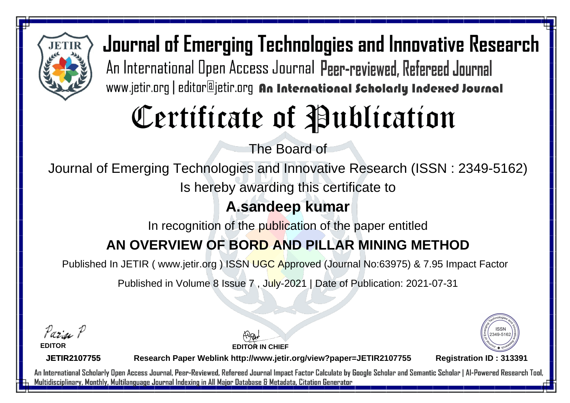

# Certificate of Publication

The Board of

Journal of Emerging Technologies and Innovative Research (ISSN : 2349-5162)

Is hereby awarding this certificate to

#### **A.sandeep kumar**

In recognition of the publication of the paper entitled

### **AN OVERVIEW OF BORD AND PILLAR MINING METHOD**

Published In JETIR ( www.jetir.org ) ISSN UGC Approved (Journal No: 63975) & 7.95 Impact Factor

Published in Volume 8 Issue 7 , July-2021 | Date of Publication: 2021-07-31

Parin P

**EDITOR**

**EDITOR IN CHIEF**



**JETIR2107755**

**Research Paper Weblink http://www.jetir.org/view?paper=JETIR2107755 Registration ID : 313391**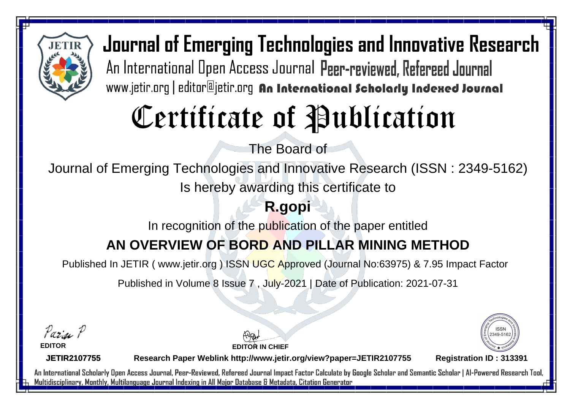

# Certificate of Publication

The Board of

Journal of Emerging Technologies and Innovative Research (ISSN : 2349-5162)

Is hereby awarding this certificate to

### **R.gopi**

In recognition of the publication of the paper entitled

### **AN OVERVIEW OF BORD AND PILLAR MINING METHOD**

Published In JETIR ( www.jetir.org ) ISSN UGC Approved (Journal No: 63975) & 7.95 Impact Factor

Published in Volume 8 Issue 7 , July-2021 | Date of Publication: 2021-07-31

Parin P

**EDITOR**

**JETIR2107755**

**EDITOR IN CHIEF**



**Research Paper Weblink http://www.jetir.org/view?paper=JETIR2107755 Registration ID : 313391**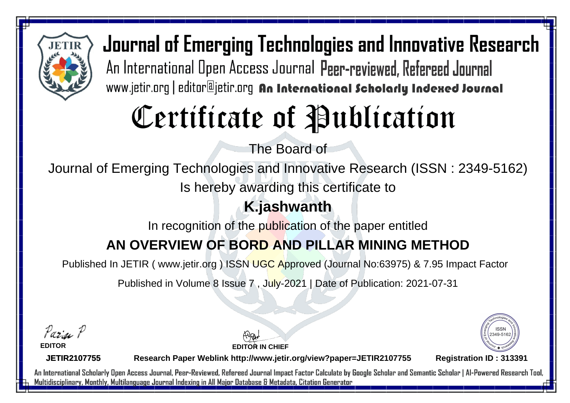

# Certificate of Publication

The Board of

Journal of Emerging Technologies and Innovative Research (ISSN : 2349-5162)

Is hereby awarding this certificate to

### **K.jashwanth**

In recognition of the publication of the paper entitled

#### **AN OVERVIEW OF BORD AND PILLAR MINING METHOD**

Published In JETIR ( www.jetir.org ) ISSN UGC Approved (Journal No: 63975) & 7.95 Impact Factor

Published in Volume 8 Issue 7 , July-2021 | Date of Publication: 2021-07-31

Parin P

**EDITOR**

**EDITOR IN CHIEF**



**JETIR2107755**

**Research Paper Weblink http://www.jetir.org/view?paper=JETIR2107755 Registration ID : 313391**